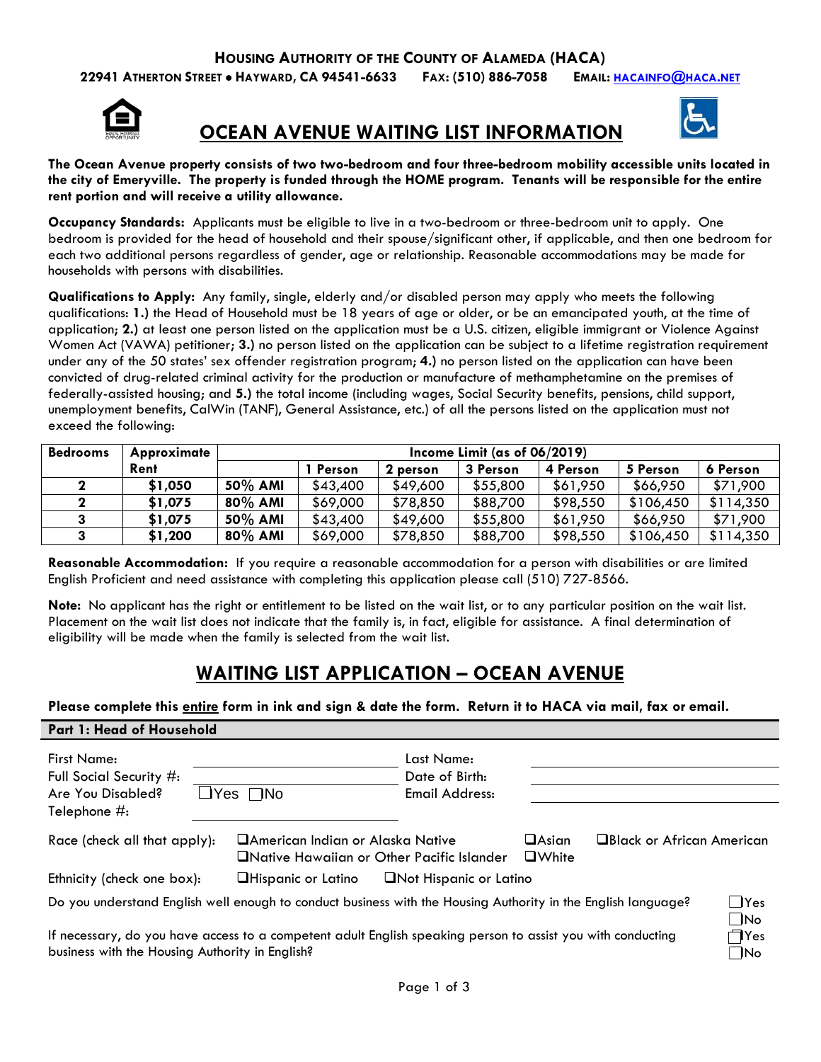**22941 ATHERTON STREET** • **HAYWARD, CA 94541-6633 FAX: (510) 886-7058 EMAIL: [HACAINFO@HACA.NET](mailto:hacainfo@haca.net)**



## **OCEAN AVENUE WAITING LIST INFORMATION**



**The Ocean Avenue property consists of two two-bedroom and four three-bedroom mobility accessible units located in the city of Emeryville. The property is funded through the HOME program. Tenants will be responsible for the entire rent portion and will receive a utility allowance.**

**Occupancy Standards:** Applicants must be eligible to live in a two-bedroom or three-bedroom unit to apply. One bedroom is provided for the head of household and their spouse/significant other, if applicable, and then one bedroom for each two additional persons regardless of gender, age or relationship. Reasonable accommodations may be made for households with persons with disabilities.

**Qualifications to Apply:** Any family, single, elderly and/or disabled person may apply who meets the following qualifications: **1.)** the Head of Household must be 18 years of age or older, or be an emancipated youth, at the time of application; **2.)** at least one person listed on the application must be a U.S. citizen, eligible immigrant or Violence Against Women Act (VAWA) petitioner; **3.)** no person listed on the application can be subject to a lifetime registration requirement under any of the 50 states' sex offender registration program; **4.)** no person listed on the application can have been convicted of drug-related criminal activity for the production or manufacture of methamphetamine on the premises of federally-assisted housing; and **5.)** the total income (including wages, Social Security benefits, pensions, child support, unemployment benefits, CalWin (TANF), General Assistance, etc.) of all the persons listed on the application must not exceed the following:

| <b>Bedrooms</b> | Approximate | Income Limit (as of $06/2019$ ) |          |          |          |          |           |           |
|-----------------|-------------|---------------------------------|----------|----------|----------|----------|-----------|-----------|
|                 | Rent        |                                 | Person   | 2 person | 3 Person | 4 Person | 5 Person  | 6 Person  |
|                 | \$1,050     | 50% AMI                         | \$43,400 | \$49,600 | \$55,800 | \$61,950 | \$66,950  | \$71,900  |
|                 | \$1,075     | 80% AMI                         | \$69,000 | \$78,850 | \$88,700 | \$98,550 | \$106,450 | \$114,350 |
|                 | \$1,075     | 50% AMI                         | \$43,400 | \$49,600 | \$55,800 | \$61,950 | \$66,950  | \$71,900  |
|                 | \$1,200     | $80\%$ AMI                      | \$69,000 | \$78,850 | \$88,700 | \$98,550 | \$106,450 | \$114,350 |

**Reasonable Accommodation:** If you require a reasonable accommodation for a person with disabilities or are limited English Proficient and need assistance with completing this application please call (510) 727-8566.

**Note:** No applicant has the right or entitlement to be listed on the wait list, or to any particular position on the wait list. Placement on the wait list does not indicate that the family is, in fact, eligible for assistance. A final determination of eligibility will be made when the family is selected from the wait list.

# **WAITING LIST APPLICATION – OCEAN AVENUE**

**Please complete this entire form in ink and sign & date the form. Return it to HACA via mail, fax or email.**

### **Part 1: Head of Household**

| <b>First Name:</b><br>Full Social Security #:<br>Are You Disabled?<br>Telephone $\#$ : | Last Name:<br>Date of Birth:<br>$\Box$ Yes $\Box$ No<br>Email Address:                                        |                              |                            |  |  |
|----------------------------------------------------------------------------------------|---------------------------------------------------------------------------------------------------------------|------------------------------|----------------------------|--|--|
| Race (check all that apply):                                                           | <b>American Indian or Alaska Native</b><br>□Native Hawaiian or Other Pacific Islander                         | $\Box$ Asian<br>$\Box$ White | □Black or African American |  |  |
| Ethnicity (check one box):                                                             | <b>ONot Hispanic or Latino</b><br><b>Hispanic or Latino</b>                                                   |                              |                            |  |  |
|                                                                                        | Do you understand English well enough to conduct business with the Housing Authority in the English language? |                              | $\Box$ Yes                 |  |  |

If necessary, do you have access to a competent adult English speaking person to assist you with conducting business with the Housing Authority in English?

| lYes     |
|----------|
| lNo      |
| 7Yes     |
| $\Omega$ |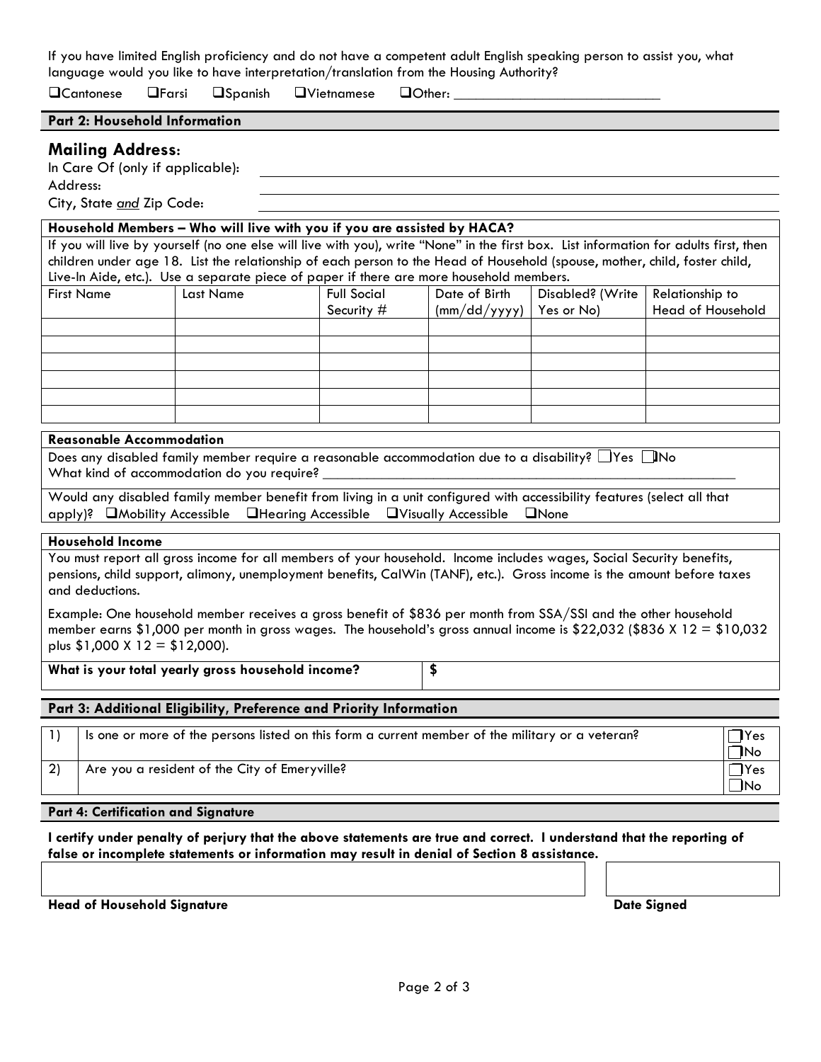If you have limited English proficiency and do not have a competent adult English speaking person to assist you, what language would you like to have interpretation/translation from the Housing Authority?

 $\square$ Cantonese  $\square$ Farsi  $\square$ Spanish  $\square$ Vietnamese  $\square$ Other:

#### **Part 2: Household Information**

### **Mailing Address:**

In Care Of (only if applicable):

Address:

City, State *and* Zip Code:

#### **Household Members – Who will live with you if you are assisted by HACA?**

If you will live by yourself (no one else will live with you), write "None" in the first box. List information for adults first, then children under age 18. List the relationship of each person to the Head of Household (spouse, mother, child, foster child, Live-In Aide, etc.). Use a separate piece of paper if there are more household members.

| <b>First Name</b> | Last Name | <b>Full Social</b> | Date of Birth                           | Disabled? (Write   Relationship to |                   |  |
|-------------------|-----------|--------------------|-----------------------------------------|------------------------------------|-------------------|--|
|                   |           | Security #         | $\frac{1}{2}$ (mm/dd/yyyy)   Yes or No) |                                    | Head of Household |  |
|                   |           |                    |                                         |                                    |                   |  |
|                   |           |                    |                                         |                                    |                   |  |
|                   |           |                    |                                         |                                    |                   |  |
|                   |           |                    |                                         |                                    |                   |  |
|                   |           |                    |                                         |                                    |                   |  |
|                   |           |                    |                                         |                                    |                   |  |

#### **Reasonable Accommodation**

Does any disabled family member require a reasonable accommodation due to a disability?  $\Box$  Yes  $\Box$  No What kind of accommodation do you require?

Would any disabled family member benefit from living in a unit configured with accessibility features (select all that apply)? Mobility Accessible Hearing Accessible Visually Accessible None

#### **Household Income**

You must report all gross income for all members of your household. Income includes wages, Social Security benefits, pensions, child support, alimony, unemployment benefits, CalWin (TANF), etc.). Gross income is the amount before taxes and deductions.

Example: One household member receives a gross benefit of \$836 per month from SSA/SSI and the other household member earns \$1,000 per month in gross wages. The household's gross annual income is \$22,032 (\$836 X 12 = \$10,032 plus \$1,000 X 12 = \$12,000).

**What is your total yearly gross household income? \$**

#### **Part 3: Additional Eligibility, Preference and Priority Information**

|    | Is one or more of the persons listed on this form a current member of the military or a veteran? | 1Yes       |
|----|--------------------------------------------------------------------------------------------------|------------|
|    |                                                                                                  | <b>INo</b> |
| っい | Are you a resident of the City of Emeryville?                                                    | 'Yes       |
|    |                                                                                                  | INo        |

#### **Part 4: Certification and Signature**

**I certify under penalty of perjury that the above statements are true and correct. I understand that the reporting of false or incomplete statements or information may result in denial of Section 8 assistance.**

**Head of Household Signature Date Signed**